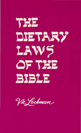# THE DIETARY LAWS OF THE **BIBLE**

Vic Lockman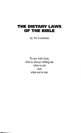# **THE DIETARY LAWS OF THE BIBLE**

by Vic Lockman

To my wife Jean, who is always telling me what to eat and what not to eat.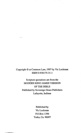### Copyright © at Common Law, 1997 by Vie Lockman ISBN 0-936175-31-1

Scripture quotations are from the MODERN KING JAMES VERSION OF THE BIBLE Published by Sovereign Grace Publishers Lafayette, Indiana

> Published by VicLockman P.O.Box 1396 Yreka, Ca. 96097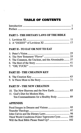# **TABLE OF CONTENTS**

 $\langle \cdot \rangle$ 

| PART I - THE DIETARY LAWS OF THE BIBLE             |  |
|----------------------------------------------------|--|
|                                                    |  |
|                                                    |  |
| PART II - TO EAT OR NOT TO EAT                     |  |
|                                                    |  |
|                                                    |  |
| 5. The Common, the Unclean, and the Abominable  37 |  |
|                                                    |  |
|                                                    |  |
| PART III - THE CREATION KEY                        |  |
|                                                    |  |
|                                                    |  |
| PART IV - THE NEW CREATION                         |  |
| 10. The New Heavens and the New Earth  85          |  |
| 11. God's Diet for Modern Man,                     |  |
| Ten Commandments for a Healthy Body  89            |  |
| <b>APPENDIX</b>                                    |  |
|                                                    |  |
|                                                    |  |
|                                                    |  |
| Third World Conditions Foster Tapeworm Cysts  100  |  |
|                                                    |  |
|                                                    |  |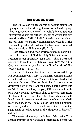#### **INTRODUCTION**

 $\mathbf{1}$ 

The Bible clearly places salvation beyond attainment by any manner of works-righteousness or law-keeping: "For by grace are you saved through faith, and that not of yourselves, it is the gift of God, not of works, lest any man should boast" (Ep.2:8-9). Yet in the same breath we are told that: "we are his workmanship, created in Christ Jesus unto good works, which God has before ordained that we should walk in them"(Ep.2: I0).

Both salvation and good works are possible only because of the work of God the Holy Spirit within us: He regenerates our spiritually dead souls (Titus 3:5,6) and causes us to walk in His statutes (Ezek.36:25-27)-"It is God who works in you both to will and to do of His good pleasure"(Phi1.2:13).

Jesus made it clear that if we love Him we will keep His commandments (Jn.14:15), and His commandments are not burdensome (I In.5:3), and that this is of extended temporal duration: "Do not think that I have come to destroy the law or the prophets. I came not to destroy but to fulfill. For truly I say to you, Till heaven and earth pass away, not one jot or tittle shall in any way pass from the law until all is fulfilled. Therefore, whoever shall break one of these commandments, the least, and shall teach men so, he shall be called the least in the kingdom of Heaven, and whosoever shall do and teach them, the same shall be called great in the kingdom of heaven" (Mt.5:17-19).

This means that every single law of the Older Covenant continues to be valid and is intended to be obeyed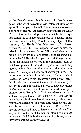by the New Covenant church unless it is directly abrogated in the scriptures of the New Testament, implied by apostolic example, or by valid inference made obsolete. The book of Hebrews, in its many references to the Older Covenant form of worship, indicates that the former system composed of shadows and types of heavenly things, has been superseded by Christ the very object of that imagery, for He is "the Mediator of a better covenant"(Heb.8:6). The imagery, the ceremonies, the priesthood, and the temple itself all pointed ahead to the divine High Priest, the Lord Jesus Christ. Hebrews 8:5, quoting Ex.25:40: "See that you make all things according to the pattern shown you in the mountain," tells us that those priests of old and the system in which they labored, which included the pattern of the tabernacle, served "as example and shadow of heavenly things." The writer goes on at length in this vein: "Now that which decays and becomes old is ready to vanish away" $(8:13)$ ; the old tabernacle was until the time of reformation (9: I-10); these were expendable patterns of heavenly things  $(9:23)$ ; and the ceremonial law was a shadow of good things to come  $(10:1)$ . Jesus Christ was the realization of all these images, having fulfilled them in His sinless life on earth, substitutionary blood atonement, bodily resurrection and ascension, and messianic reign over all creation from Heaven until the last day (He.l0:l0-13). Today the ceremonial laws of Israel are "out of gear," no longer observed on earth by man, but eternally exercised in heaven (He.7:25). In this way, and in this way alone, they have abiding validity (Mt.5:18).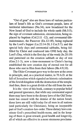"Out of gear" also are those laws of various particulars of Israel's life as God's covenant people, laws of territorial inheritance (Nu.34), now broadened for the New Israel of God to include the whole earth (Mt.5:5); the sign of covenant admission, circumcision, being replaced by baptism (Co1.2:11 -12), and covenantal-lifemaintenance, the Passover (Ex.12:1ff), being replaced by the Lord's Supper (Lu.22:14-20; I Cor.5:7); and the special holy days and ceremonial sabbaths, being fulfilled by Christ and coalesced into ONE holy day, the Lord's Day, which is the first day of the week (In.20:19) and patterned on the creation sabbath or day of rest (Gen.2:1-3), now a time-monument to Christ's having established the new creation day of eternal rest for all those who rest in Him from their labors (He.4:9,lO).

The Older Covenant gave way to the new at the cross in principle, and, as a practical matter, in 70 A.D. at the fall of Jerusalem which signaled an historic culmination of the Jewish kingdom with the destruction of the temple. And thus, there is a great divide of the old from the new.

It is the view of this book, contrary to popular belief and general ignorance, that while any ceremonial aspect there may have been to the dietary laws of the Old Testament has ceased with the demise of the nation Israel, those laws are still valid today for all men in all nations (and particularly for Christians), being an inseparable part of God's creation-law-order. These dietary laws constitute God's prescribed health-menu, and in the keeping of them is great reward; good health and longevity, all of which are effective in a more strenuous proclama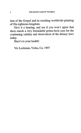tion of the Gospel and its resulting worldwide planting of His righteous kingdom.

Give it a hearing, and see if you won't agree that there stands a very formidable prima-facie case for the continuing validity and observation of the dietary laws today.

Here's to your health!

Vic Lockman, Yreka, Ca. 1997

4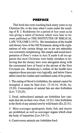#### PREFACE

This book has roots reaching back many years in my Christian life, to the time when I came under the teaching of R. J. Rushdoony for a period of four years as he was giving a series of lectures which were later to become published as THE INSTITUTES OF BIBLICAL LAW, VOLUME I (1973). His itemization of the health and dietary laws of the Old Testament, along with explanations of why certain things are or are not unhealthy was extremely enlightening. His simple and sound interpretation of Peter's vision in Acts X made it all too apparent that most Christians were badly mistaken in believing that the dietary laws were abrogated along with the ceremonial laws of Israel at the advent of the New Covenant era. Rushdoony's outline of the health laws organizes those precepts very logically, and below I have abbreviated his outline and combined some of its points.

1.The eating of blood is forbidden; the animal cannot be strangled; it must be bled (Lev. 17:10-14; 19:26; Ac. 15:20). Consumption of animal fats are also forbidden (Lev. 7:23,25).

2. Dead, unbutchered animals are forbidden fare (animals that die on their own- Deut. 14:21). Also forbidden is the flesh of any animal tom by wild beasts (Ex.22:31).

3. Most scavenger quadrupeds, birds, fish, and insects are prohibited, as well as scavenger organs which clear the body of impurities (Lev.3:9-11).

4. Carnivorous animals are forbidden food.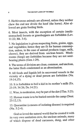5. Herbivorous animals are allowed, unless they neither chew the cud nor divide the hoof (the horse). Also allowed are grain feeding birds.

6. Most insects, with the exception of certain (multistomached) locusts or grasshoppers are forbidden (Lev. 11:22; Mt. 3:4).

7. No legislation is given respecting fruits, grains, eggs, and vegetables; hence they are fit for human consumption, unless, in the case of animal products (eggs, milk, cheese), they are derived from unclean beasts. Mushrooms (fungi) are forbidden because they are not seedbearing plants (Gen.1:29).

8. The terms of division are clean, common, and unclean, the latter flesh condemned as an abomination.

9. All foods and liquids left in uncovered vessels in the vicinity of a dying or dead person are forbidden (Nu. 19:14,15).

10. It is forbidden to boil a kid in its mother's milk (Ex. 23:19; 34:26; De.14:21).

11. Wine, in moderation, may be part of the diet (I Tim. 5:23).

12. Human waste is to be buried outside the camp (Deut. 23:12,13).

13. Quarantine (a means of isolating disease) is required (Nu.5:2-4).

God so loved the natural world that he created it with its very own sanitation crew, the unclean animals, many of which dispose of dead carcasses, dung, and other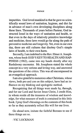#### PREFACE

impurities. God loved mankind in that he gave us scientifically sound laws of sanitation, hygiene, and diet far in advance of man's own developing disciplines along these lines. Thousands of years before Pasteur, God instructed Israel in the ways of sanitation and health, so that even in the days of relatively primitive knowledge and medicine, these laws would go far along the path of preventive medicine and longevity. Yet, even in our own day, there are still cultures that disobey God's simple laws of health, to their own harm.

Secondly, I am indebted to the Rev. Elmer A. Josephson, whose book GOD'S KEYTO HEALTH AND HAP-PINESS (1962), came into my hands shortly after my Rushdoony encounter. Mr. Josephson stated the whole concept in a very serious and loving way, and answered the questions of the critics. This was all encompassed in an evangelical approach.

I am also grateful to numerous other Christians, whose views, both pro and con on this subject, have had an influence on my thinking and apologetic method.

Recognizing that all things were made by, through, and for our Lord and Savior Jesus Christ, I credit Him, in whom reside all the treasures of wisdom and knowledge, for what measure of truth is contained in this little book. I pray God's blessings on the contents of this book so far as they accurately reflect His will for our lives.

Go ahead now, imitate the faithful Bereans to see if these things are so.

-VIC LOCKMAN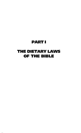# PART I

# THE DIETARY LAWS OF THE BIBLE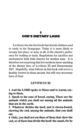# 1 **CODIS DIETARY LAWS**

Leviticus was the first book that Jewish children used to study in the Synagogue. Today it is more likely to occupy last place, or none at all, in the church's preference for reading or study. Regulations for sacrifice and uncleanness hold little interest for modern man. It is therefore not surprising that few modems know anything of the dietary laws of Leviticus XI and Deuteronomy XlV. Hopefully, what follows in this book will revive a healthy interest in those ancient, but still very necessary laws of God.

#### **LEVITICUS XI**

1 And the LORD spoke to Moses and to Aaron, saying to them,

2 Speak to the sons of Israel, saying, These are the animals which you shall eat among all the animals that are in the earth.

3 Whatever divides the hoof, and is cloven-footed, chewing the cud, among the animals, that you shall eat.

4 Only, you shall not eat these of them that chew the cud, or of them that divide the hoof: the camel, for he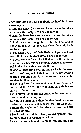chews the cud but does not divide the hoof; he is unclean to you.

5 And the coney, because he chews the cud but does not divide the hoof; he is unclean to you.

6 And the hare, because he chews the cud but does not divide the hoof; he is unclean to you.

7 And the swine, though he divides the hoof and is cloven-footed, yet he does not chew the cud; he is unclean to you.

8 You shall not eat of their flesh, and you shall not touch their dead body. They are unclean to you.

9 These you shall eat of all that are in the waters: whatever has fins and scales in the waters, in the seas, and in the rivers, them you shall eat.

10 And all that have not fins and scales in the seas, and in the rivers, and all that move in the waters, and of any living thing that is in the waters, they shall be an abomination to you.

11They shall even be an abomination to you. You shall not eat of their flesh, but you shall have their carcasses in abomination.

12Whatever has no fins nor scales in the waters shall be an abomination to you.

13 And you shall have these in abomination among the fowls. They shall not be eaten, they are an abomination: the eagle, and the black vulture, and the bearded vulture,

14 and the kite, and the falcon, according to its kind; 15 every raven according to its kind;

16 and the ostrich, and the great owl, and the gull,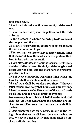and small hawks,

17 and the little owl, and the cormorant, and the eared owl;

18 and the barn owl, and the pelican, and the owlvulture;

19 and the stork, the heron according to its kind, and the hoopoe, and the bat.

20 Every flying swarming creature going on all four, it is an abomination to you.

21 Yet you may eat these of any flying swarming thing that goes on all four, those which have legs above their feet, to leap with on the earth.

22 You may eat these of them: the locust after its kind, and the bald locust after its kind, and the long horned locust after its kind, and the short horned grasshopper after its kind.

23 But every other flying swarming thing which has four feet shall be an abomination to you.

24 And you shall be unclean for these. Whoever touches their dead body shall be unclean until evening. 25 And whoever carries the carcass of them shall wash his clothes and be unclean until the evening;

26 even every living thing which divides the hoof, and is not cloven- footed, nor chews the cud, they are unclean to you. Everyone that touches them shall be unclean.

27 And whatever goes on its paws, among all the living things that go on all four, those are unclean to you. Whoever touches their dead body shall be unclean until the evening.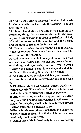28 And he that carries their dead bodies shall wash his clothes and be unclean until the evening. They are unclean to you.

29 These also shall be unclean to you among the swarming things that swarm on the earth: the weasel, and the mouse, and the great lizard after its kind; 30 and the gecko, and the monitor, and the lizard, and the sand lizard, and the brown owl.

31 These are unclean to you among all that swarm. Whoever touches them when they are dead shall be unclean until the evening.

32 And whatever shall fall on any of them when they are dead, shall be unclean, whether any vesselof wood, or clothing, or skin, or sack; whatever vessel in which work is done, it must be put into water, and it shall be unclean to the evening. So it shall be cleaned.

33 And any earthen vessel in which any of them falls, whatever is in it shall be unclean. And you shall break it.

34 Of all food which may be eaten, that on which such water comes shall be unclean. And all drink that may be drunk in every such vessel shall be unclean.

35 And every thing on which any part of their dead body falls shall be unclean; whether it is the oven, or ranges for pots, they shall be broken down. They are unclean and shall be unclean to you.

36 But a fountain or pit, in which there is a collection of water, shall be clean. But that which touches their dead body shall be unclean.

37 And if any of their dead body falls on any sowing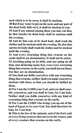seed which is to be sown, it shall be unclean.

38 But if any water is put on the seed, and any part of the dead body falls on it, it shall be unclean to you.

39 And if any animal among those you may eat dies, he that touches its dead body shall be unclean until the evening.

40 And he that eats of its dead body shall wash his clothes and be unclean until the evening. He also that carries its body shall wash his clothes and be unclean until the evening.

41 And every swarming thing that swarms on the earth shall be an abomination. It shall not be eaten.

42 Anything going on its belly, and any going on all four, and all having many feet, even every swarming thing that swarms on the earth, you shall not eat them. For they are an abomination.

43 You shall not defile yourselves with any swarming thing that swarms, neither shall you make yourselves unclean with them, so that you should be defiled by them.

44 For I am the LORD your God, and you shall sanctify yourselves, and you shall be holy, for I am holy. Neither shall you defile yourselves with any kind of swarming thing that swarms on the earth.

45 For I am the LORD who brings you up out of the land of Egypt, to be your God. You shall therefore be holy, for I am holy.

46 This is the law of the animals, and of the fowl, and of every living creature that moves in the waters, and of every creature that swarms on the earth,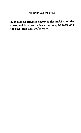## 47 to make a difference between the unclean and the clean, and between the beast that may be eaten and the beast that may not be eaten.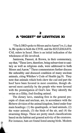# 2 **A 66DIGEST" OF LEVITICUS XI**

"The LORD spoke to Moses and to Aaron" (vs.1), that is, He spoke to both the CIVIL and the ECCLESIASTI-CAL rulers in Israel. Here is an initial indication of the wholeness of life involved.

Jamieson, Fausset, & Brown, in their commentary, say that, "These laws, therefore, being subservient to sanitary as well as religious ends, were addressed to both Moses and Aaron." These commentators further discuss the unhealthy and diseased condition of many unclean animals, citing Whitlaw's Code of Health (pg.9). They note that animals which both chew the cud and part the hoof have been favored in most countries, though ob-· served most carefully by the people who were favored with the promulgation of God's law. They identify the swine as a filthy, foul-feeding animal.

The dietary laws, standing first in the general precepts of clean and unclean, are, in accordance with the Hebrew division of the animal kingdom, listed under four main headings: (1) the quadrupeds, or land animals, (2) the water animals, (3) the birds of the air, and (4) the swarming things. These are pretty much classifications based on the habitat and general activity of the creatures. For instance, bats are found listed among birds. Modem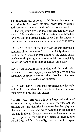classifications are, of course, of different divisions and are further broken down into class, order, family, genus, and species, and these contain subdivisions as well.

The important division that cuts through all classes is that of clean and unclean. These distinctions, based on the physical and dining habits as well as the digestive systems of the animals, may be summarized as follows.

LAND ANIMALS: those that chew the cud (having a complex digestive system) and completely divide the hoof or foot (beneath as well as above) are clean. Those that have a simple digestive system and do not completely divide the hoof or foot, such as horses, are unclean.

WATER ANIMALS: those having both fins and scales are clean. It is overlapping scales that qualify and not separated or spiny plates or ridges that leave the skin exposed. All else are declared unclean.

BIRDS OF THE AIR: those not prohibited are the grain eating birds, and those listed as forbidden are carnivorous birds of prey and scavengers.

SWARMING THINGS: this is a large collection of various creatures, such as insects, small rodents, reptiles, etc., and they are identified by name rather than physical characteristics. Swarmers are to be found on land, in the sea, and in the air. Mostly these are unclean. A surprising exception is four kinds of locust or grasshopper (vs.21-23), which incidentally, have a complex diges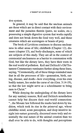tive system.

In general, it may be said that the unclean animals are those which are in direct contact with their environment and the parasites therein (paws, no scales, etc.), possessing a simple digestive system that works rapidly and does not break down the food very well, and those creatures which are scavengers or beasts of prey.

The book of Leviticus continues to discuss uncleanness in other areas of life; childbirth (Chapter 12), diseases (chapter 13), and body-discharges, none of which are subjects of this study. They are all in the context of ceremonial uncleanness as a barrier to communion with God, but like the dietary laws, they have their roots in the real world of pollution. Keil and Delitzch's Old Testament Commentary ruminates further along these lines, saying, "Ceremonially, all of these things reminded men that in all the processes of life-generation, birth, eating, disease, and death—how everything, even his own bodily nature, lies under the curse of sin (Gen. 3: 14-19), so that the law might serve as a schoolmaster to bring men to Christ."

While denying the undergirding of the dietary laws for any sanitary reasons, Keil and Delitzch nonetheless cannot help but discern their real-world connection: "...the Mosaic law followed the marks laid down by tradition, which took its rise in the primeval age, whose childlike mind, acute perception, and deep intuitive insight into nature generally, discerned more truly and essentially the real nature of the animal creation than we shall ever be able to do, with thoughts and perceptions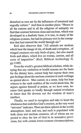disturbed as ours are by the influences of unnatural and ungodly culture." And then in another place: "Hence in all the nations and in all the religions of antiquity we find that contrast between clean and unclean, which was developed in a dualistic form, it is true, in many of the religious systems, but had its primary root in the corruption that had entered the world through sin."

Keil also observes that: "All animals are unclean which bear the image of sin, of death and corruption ...of winged creatures not only birds of prey ... but also marsh birds and others, which live on worms, carrion, and all sorts of impurities" (Keil, Biblical Archeology **II,** pp.118ff).

Even the world's greatest biblical scholars, while denying that any sanitation or health reasons are the basis for the dietary laws, cannot help but expose their own gut-feelings about the unclean creatures in such verbiage as quoted above. Man cannot, in a sense, help but bear witness to the stark realities of the world about him. He argues against himself at points, as we have seen, because God speaks so loudly through natural revelation at times that He drowns out the wisdom of man's intellect.

Finally, we need to recognize and take to heart the wholeness that underlies God's creation, as the very word "universe" indicates. There are three spheres in the world; atmosphere, land, and sea, and each is populated with both clean and unclean creatures, all of whom are expected to obey the law of God in its normative provisions, but with certain lower-creature circumscriptions,